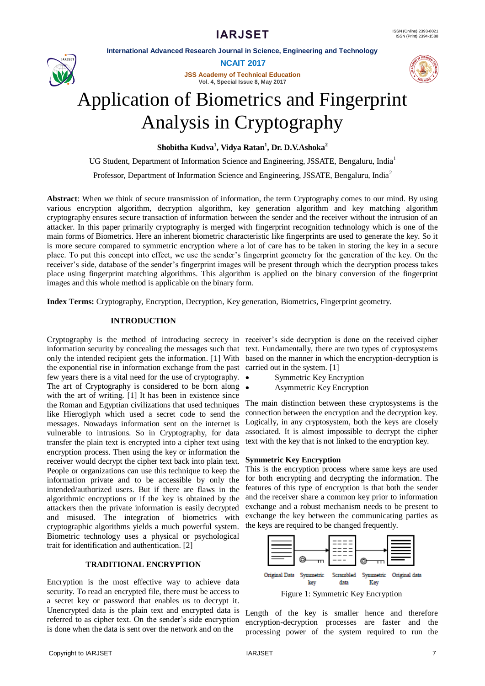**International Advanced Research Journal in Science, Engineering and Technology**



**NCAIT 2017**

**JSS Academy of Technical Education Vol. 4, Special Issue 8, May 2017**



# Application of Biometrics and Fingerprint Analysis in Cryptography

**Shobitha Kudva<sup>1</sup> , Vidya Ratan<sup>1</sup> , Dr. D.V.Ashoka<sup>2</sup>**

UG Student, Department of Information Science and Engineering, JSSATE, Bengaluru, India<sup>1</sup>

Professor, Department of Information Science and Engineering, JSSATE, Bengaluru, India<sup>2</sup>

**Abstract**: When we think of secure transmission of information, the term Cryptography comes to our mind. By using various encryption algorithm, decryption algorithm, key generation algorithm and key matching algorithm cryptography ensures secure transaction of information between the sender and the receiver without the intrusion of an attacker. In this paper primarily cryptography is merged with fingerprint recognition technology which is one of the main forms of Biometrics. Here an inherent biometric characteristic like fingerprints are used to generate the key. So it is more secure compared to symmetric encryption where a lot of care has to be taken in storing the key in a secure place. To put this concept into effect, we use the sender"s fingerprint geometry for the generation of the key. On the receiver"s side, database of the sender"s fingerprint images will be present through which the decryption process takes place using fingerprint matching algorithms. This algorithm is applied on the binary conversion of the fingerprint images and this whole method is applicable on the binary form.

**Index Terms:** Cryptography, Encryption, Decryption, Key generation, Biometrics, Fingerprint geometry.

# **INTRODUCTION**

Cryptography is the method of introducing secrecy in receiver's side decryption is done on the received cipher the exponential rise in information exchange from the past carried out in the system. [1] few years there is a vital need for the use of cryptography. The art of Cryptography is considered to be born along  $\bullet$ with the art of writing. [1] It has been in existence since the Roman and Egyptian civilizations that used techniques like Hieroglyph which used a secret code to send the messages. Nowadays information sent on the internet is vulnerable to intrusions. So in Cryptography, for data transfer the plain text is encrypted into a cipher text using encryption process. Then using the key or information the receiver would decrypt the cipher text back into plain text. People or organizations can use this technique to keep the information private and to be accessible by only the intended/authorized users. But if there are flaws in the algorithmic encryptions or if the key is obtained by the attackers then the private information is easily decrypted and misused. The integration of biometrics with cryptographic algorithms yields a much powerful system. Biometric technology uses a physical or psychological trait for identification and authentication. [2]

# **TRADITIONAL ENCRYPTION**

Encryption is the most effective way to achieve data security. To read an encrypted file, there must be access to a secret key or password that enables us to decrypt it. Unencrypted data is the plain text and encrypted data is referred to as cipher text. On the sender's side encryption is done when the data is sent over the network and on the

information security by concealing the messages such that text. Fundamentally, there are two types of cryptosystems only the intended recipient gets the information. [1] With based on the manner in which the encryption-decryption is

- Symmetric Key Encryption
- Asymmetric Key Encryption

The main distinction between these cryptosystems is the connection between the encryption and the decryption key. Logically, in any cryptosystem, both the keys are closely associated. It is almost impossible to decrypt the cipher text with the key that is not linked to the encryption key.

#### **Symmetric Key Encryption**

This is the encryption process where same keys are used for both encrypting and decrypting the information. The features of this type of encryption is that both the sender and the receiver share a common key prior to information exchange and a robust mechanism needs to be present to exchange the key between the communicating parties as the keys are required to be changed frequently.



Length of the key is smaller hence and therefore encryption-decryption processes are faster and the processing power of the system required to run the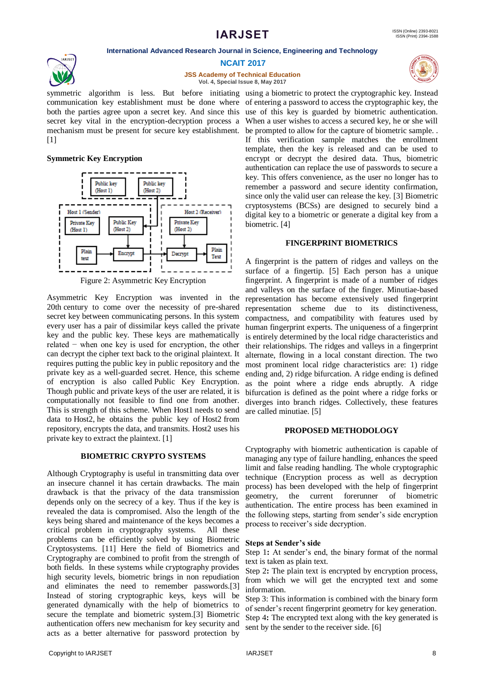**International Advanced Research Journal in Science, Engineering and Technology**



**NCAIT 2017**

**JSS Academy of Technical Education Vol. 4, Special Issue 8, May 2017**



## **Symmetric Key Encryption**



Asymmetric Key Encryption was invented in the 20th century to come over the necessity of pre-shared secret key between communicating persons. In this system every user has a pair of dissimilar keys called the private key and the public key. These keys are mathematically related − when one key is used for encryption, the other can decrypt the cipher text back to the original plaintext. It requires putting the public key in public repository and the private key as a well-guarded secret. Hence, this scheme of encryption is also called Public Key Encryption. Though public and private keys of the user are related, it is computationally not feasible to find one from another. This is strength of this scheme. When Host1 needs to send data to Host2, he obtains the public key of Host2 from repository, encrypts the data, and transmits. Host2 uses his private key to extract the plaintext. [1]

# **BIOMETRIC CRYPTO SYSTEMS**

Although Cryptography is useful in transmitting data over an insecure channel it has certain drawbacks. The main drawback is that the privacy of the data transmission depends only on the secrecy of a key. Thus if the key is revealed the data is compromised. Also the length of the keys being shared and maintenance of the keys becomes a critical problem in cryptography systems. All these problems can be efficiently solved by using Biometric Cryptosystems. [11] Here the field of Biometrics and Cryptography are combined to profit from the strength of both fields. In these systems while cryptography provides high security levels, biometric brings in non repudiation and eliminates the need to remember passwords.[3] Instead of storing cryptographic keys, keys will be generated dynamically with the help of biometrics to secure the template and biometric system.[3] Biometric authentication offers new mechanism for key security and acts as a better alternative for password protection by

If this verification sample matches the enrollment

template, then the key is released and can be used to encrypt or decrypt the desired data. Thus, biometric authentication can replace the use of passwords to secure a key. This offers convenience, as the user no longer has to remember a password and secure identity confirmation, since only the valid user can release the key. [3] Biometric cryptosystems (BCSs) are designed to securely bind a digital key to a biometric or generate a digital key from a biometric. [4]

## **FINGERPRINT BIOMETRICS**

A fingerprint is the pattern of ridges and valleys on the surface of a fingertip. [5] Each person has a unique fingerprint. A fingerprint is made of a number of ridges and valleys on the surface of the finger. Minutiae-based representation has become extensively used fingerprint representation scheme due to its distinctiveness, compactness, and compatibility with features used by human fingerprint experts. The uniqueness of a fingerprint is entirely determined by the local ridge characteristics and their relationships. The ridges and valleys in a fingerprint alternate, flowing in a local constant direction. The two most prominent local ridge characteristics are: 1) ridge ending and, 2) ridge bifurcation. A ridge ending is defined as the point where a ridge ends abruptly. A ridge bifurcation is defined as the point where a ridge forks or diverges into branch ridges. Collectively, these features are called minutiae. [5]

#### **PROPOSED METHODOLOGY**

Cryptography with biometric authentication is capable of managing any type of failure handling, enhances the speed limit and false reading handling. The whole cryptographic technique (Encryption process as well as decryption process) has been developed with the help of fingerprint geometry, the current forerunner of biometric authentication. The entire process has been examined in the following steps, starting from sender"s side encryption process to receiver"s side decryption.

#### **Steps at Sender's side**

Step 1: At sender's end, the binary format of the normal text is taken as plain text.

Step 2**:** The plain text is encrypted by encryption process, from which we will get the encrypted text and some information.

Step 3: This information is combined with the binary form of sender"s recent fingerprint geometry for key generation. Step 4**:** The encrypted text along with the key generated is sent by the sender to the receiver side. [6]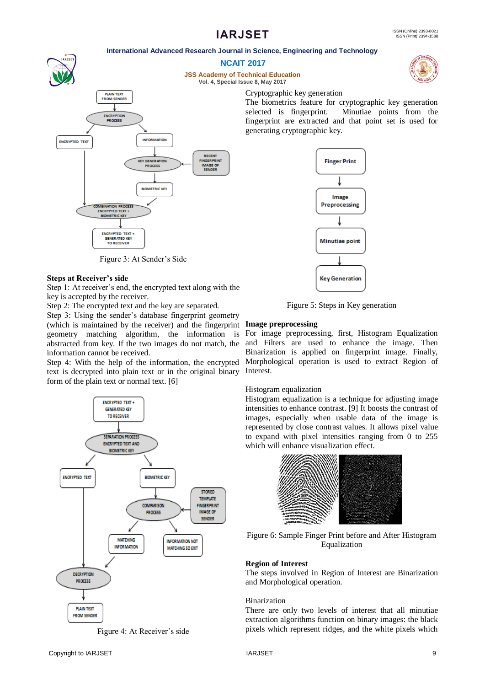#### **International Advanced Research Journal in Science, Engineering and Technology**



Figure 3: At Sender's Side

## **Steps at Receiver's side**

Step 1: At receiver's end, the encrypted text along with the key is accepted by the receiver.

Step 2: The encrypted text and the key are separated.

Step 3: Using the sender's database fingerprint geometry (which is maintained by the receiver) and the fingerprint geometry matching algorithm, the information is abstracted from key. If the two images do not match, the information cannot be received.

Step 4: With the help of the information, the encrypted text is decrypted into plain text or in the original binary form of the plain text or normal text. [6]



Figure 4: At Receiver's side



The biometrics feature for cryptographic key generation selected is fingerprint. Minutiae points from the fingerprint are extracted and that point set is used for

Figure 5: Steps in Key generation

# **Image preprocessing**

Cryptographic key generation

For image preprocessing, first, Histogram Equalization and Filters are used to enhance the image. Then Binarization is applied on fingerprint image. Finally, Morphological operation is used to extract Region of Interest.

#### Histogram equalization

Histogram equalization is a technique for adjusting image intensities to enhance contrast. [9] It boosts the contrast of images, especially when usable data of the image is represented by close contrast values. It allows pixel value to expand with pixel intensities ranging from 0 to 255 which will enhance visualization effect.



Figure 6: Sample Finger Print before and After Histogram Equalization

#### **Region of Interest**

The steps involved in Region of Interest are Binarization and Morphological operation.

# Binarization

There are only two levels of interest that all minutiae extraction algorithms function on binary images: the black pixels which represent ridges, and the white pixels which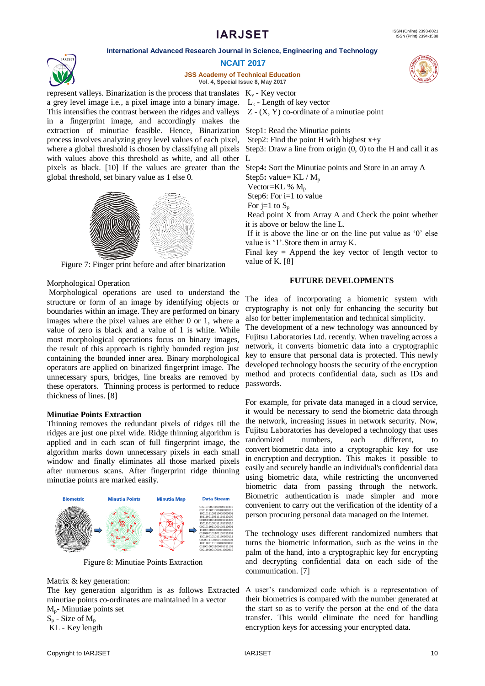#### **International Advanced Research Journal in Science, Engineering and Technology**



**JSS Academy of Technical Education Vol. 4, Special Issue 8, May 2017**

represent valleys. Binarization is the process that translates  $K_v$  - Key vector a grey level image i.e., a pixel image into a binary image.  $L_k$  - Length of key vector This intensifies the contrast between the ridges and valleys in a fingerprint image, and accordingly makes the extraction of minutiae feasible. Hence, Binarization Step1: Read the Minutiae points process involves analyzing grey level values of each pixel, where a global threshold is chosen by classifying all pixels Step3: Draw a line from origin  $(0, 0)$  to the H and call it as with values above this threshold as white, and all other L pixels as black. [10] If the values are greater than the Step4**:** Sort the Minutiae points and Store in an array A global threshold, set binary value as 1 else 0.



Figure 7: Finger print before and after binarization

#### Morphological Operation

Morphological operations are used to understand the structure or form of an image by identifying objects or boundaries within an image. They are performed on binary images where the pixel values are either 0 or 1, where a value of zero is black and a value of 1 is white. While most morphological operations focus on binary images, the result of this approach is tightly bounded region just containing the bounded inner area. Binary morphological operators are applied on binarized fingerprint image. The unnecessary spurs, bridges, line breaks are removed by these operators. Thinning process is performed to reduce thickness of lines. [8]

#### **Minutiae Points Extraction**

Thinning removes the redundant pixels of ridges till the ridges are just one pixel wide. Ridge thinning algorithm is applied and in each scan of full fingerprint image, the algorithm marks down unnecessary pixels in each small window and finally eliminates all those marked pixels after numerous scans. After fingerprint ridge thinning minutiae points are marked easily.



Figure 8: Minutiae Points Extraction

#### Matrix & key generation:

The key generation algorithm is as follows Extracted minutiae points co-ordinates are maintained in a vector

Mp- Minutiae points set

 $S_p$  - Size of  $M_p$ KL - Key length

Z - (X, Y) co-ordinate of a minutiae point

Step2: Find the point H with highest  $x+y$ 

Step5: value= KL / M<sub>p</sub>

Vector= $KL$  %  $M_p$ 

Step6: For i=1 to value

For j=1 to  $S_p$ 

Read point X from Array A and Check the point whether it is above or below the line L.

If it is above the line or on the line put value as  $0'$  else value is '1'. Store them in array K.

Final key  $=$  Append the key vector of length vector to value of K. [8]

#### **FUTURE DEVELOPMENTS**

The idea of incorporating a biometric system with cryptography is not only for enhancing the security but also for better implementation and technical simplicity.

The development of a new technology was announced by Fujitsu Laboratories Ltd. recently. When traveling across a network, it converts biometric data into a cryptographic key to ensure that personal data is protected. This newly developed technology boosts the security of the encryption method and protects confidential data, such as IDs and passwords.

For example, for private data managed in a [cloud service,](https://phys.org/tags/cloud+service/) it would be necessary to send the [biometric data](https://phys.org/tags/biometric+data/) through the network, increasing issues in network security. Now, Fujitsu Laboratories has developed a technology that uses randomized numbers, each different, to convert [biometric](https://phys.org/tags/biometric/) data into a cryptographic key for use in [encryption](https://phys.org/tags/encryption/) and decryption. This makes it possible to easily and securely handle an individual's confidential data using biometric data, while restricting the unconverted biometric data from passing through the network. [Biometric authentication](https://phys.org/tags/biometric+authentication/) is made simpler and more convenient to carry out the verification of the identity of a person procuring personal data managed on the Internet.

The technology uses different randomized numbers that turns the biometric information, such as the veins in the palm of the hand, into a cryptographic key for encrypting and decrypting confidential data on each side of the communication. [7]

A user"s randomized code which is a representation of their biometrics is compared with the number generated at the start so as to verify the person at the end of the data transfer. This would eliminate the need for handling encryption keys for accessing your encrypted data.